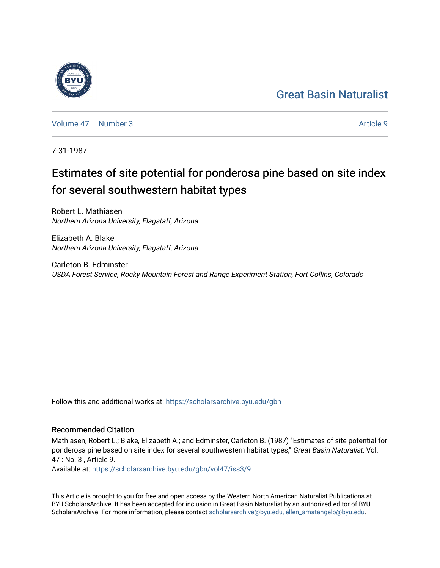## [Great Basin Naturalist](https://scholarsarchive.byu.edu/gbn)

[Volume 47](https://scholarsarchive.byu.edu/gbn/vol47) | [Number 3](https://scholarsarchive.byu.edu/gbn/vol47/iss3) Article 9

7-31-1987

# Estimates of site potential for ponderosa pine based on site index for several southwestern habitat types

Robert L. Mathiasen Northern Arizona University, Flagstaff, Arizona

Elizabeth A. Blake Northern Arizona University, Flagstaff, Arizona

Carleton B. Edminster USDA Forest Service, Rocky Mountain Forest and Range Experiment Station, Fort Collins, Colorado

Follow this and additional works at: [https://scholarsarchive.byu.edu/gbn](https://scholarsarchive.byu.edu/gbn?utm_source=scholarsarchive.byu.edu%2Fgbn%2Fvol47%2Fiss3%2F9&utm_medium=PDF&utm_campaign=PDFCoverPages) 

## Recommended Citation

Mathiasen, Robert L.; Blake, Elizabeth A.; and Edminster, Carleton B. (1987) "Estimates of site potential for ponderosa pine based on site index for several southwestern habitat types," Great Basin Naturalist: Vol. 47 : No. 3 , Article 9.

Available at: [https://scholarsarchive.byu.edu/gbn/vol47/iss3/9](https://scholarsarchive.byu.edu/gbn/vol47/iss3/9?utm_source=scholarsarchive.byu.edu%2Fgbn%2Fvol47%2Fiss3%2F9&utm_medium=PDF&utm_campaign=PDFCoverPages)

This Article is brought to you for free and open access by the Western North American Naturalist Publications at BYU ScholarsArchive. It has been accepted for inclusion in Great Basin Naturalist by an authorized editor of BYU ScholarsArchive. For more information, please contact [scholarsarchive@byu.edu, ellen\\_amatangelo@byu.edu.](mailto:scholarsarchive@byu.edu,%20ellen_amatangelo@byu.edu)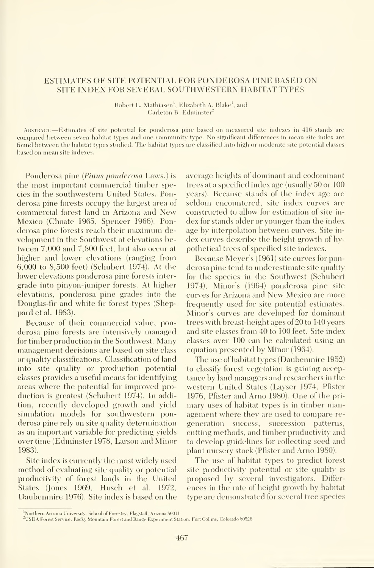### ESTIMATES OF SITE POTENTIAL FOR PONDEROSA PINE BASED ON SITE INDEX FOR SEVERAL SOUTHWESTERN HABITAT TYPES

Robert L. Mathiasen<sup>1</sup>, Elizabeth A. Blake<sup>1</sup>, and Carleton B. Edminster<sup>2</sup>

ABSTRACT.-Estimates of site potential for ponderosa pine based on measured site indexes in 416 stands are eompared between seven habitat types and one community type. No significant differences in mean site index are found between the habitat types studied. The habitat types are classified into high or moderate site potential classes based on mean site indexes.

Ponderosa pine {Pinus ponderosa Laws.) is the most important commercial timber species in the southwestern United States. Ponderosa pine forests occupy the largest area of commercial forest land in Arizona and New Mexico (Choate 1965, Spencer 1966). Ponderosa pine forests reach their maximum development in the Southwest at elevations between 7,000 and 7,800 feet, but also occur at higher and lower elevations (ranging from 6,000 to 8,500 feet) (Schubert 1974). At the lower elevations ponderosa pine forests inter grade into pinyon-juniper forests. At higher elevations, ponderosa pine grades into the Douglas-fir and white fir forest types (Sheppard et al. 1983).

Because of their commercial value, ponderosa pine forests are intensively managed for timber production in the Southwest. Many management decisions are based on site class or quality classifications. Classification of land into site quality or production potential classes provides a useful means for identifying areas where the potential for improved pro duction is greatest (Schubert 1974). In addition, recently developed growth and yield simulation models for southwestern ponderosa pine rely on site quality determination as an important variable for predicting yields over time (Edminster 1978, Larson and Minor 1983).

Site index is currently the most widely used method of evaluating site quality or potential productivity of forest lands in the United States (Jones 1969, Husch et al. 1972, Daubenmire 1976). Site index is based on the

average heights of dominant and codominant trees at a specified index age (usually 50 or 100 years). Because stands of the index age are seldom encountered, site index curves are constructed to allow for estimation of site in dex for stands older or younger than the index age by interpolation between curves. Site in dex curves describe the height growth of hypothetical trees of specified site indexes.

Because Meyer's (1961) site curves for ponderosa pine tend to underestimate site quality for the species in the Southwest (Schubert 1974), Minor's (1964) ponderosa pine site curves for Arizona and New Mexico are more frequently used for site potential estimates. Minor's curves are developed for dominant trees with breast-height ages of 20 to 140 years and site classes from 40 to 100 feet. Site index classes over 100 can be calculated using an equation presented by Minor (1964).

The use of habitat types (Daubenmire 1952) to classify forest vegetation is gaining accep tance by land managers and researchers in the western United States (Layser 1974, Pfister 1976, Pfister and Arno 1980). One of the primary uses of habitat types is in timber management where they are used to compare re generation success, succession patterns, cutting methods, and timber productivity and to develop guidelines for collecting seed and plant nursery stock (Pfister and Arno 1980).

The use of habitat types to predict forest site productivity potential or site quality is proposed by several investigators. Differ ences in the rate of height growth by habitat type are demonstrated for several tree species

<sup>&</sup>lt;sup>1</sup>Northern Arizona University, School of Forestry. Flagstafl, Arizona 86011.

<sup>&</sup>lt;sup>2</sup>USDA Forest Service, Rocky Mountain Forest and Range Experiment Station, Fort Collins, Colorado 80526.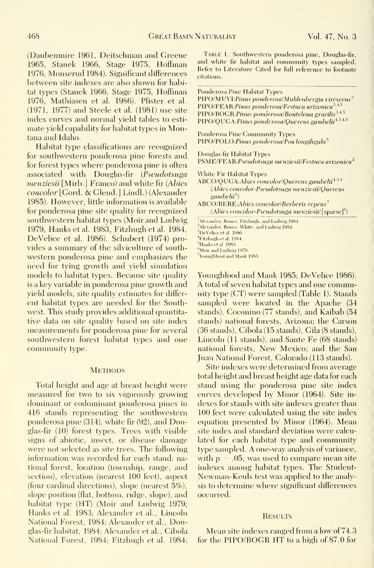(Daubenmire 1961, Deitschman and Greene 1965, Stanek 1966, Stage 1975, Hoffman 1976, Monserud 1984). Significant differences between site indexes are also shown for habitat types (Stanek 1966, Stage 1975, Hoffman 1976, Mathiasen et al. 1986). Pfister et al. (1971, 1977) and Steele et al. (1981) use site index curves and normal yield tables to esti mate yield capability for habitat types in Montana and Idaho.

Habitat type classifications are recognized for southwestern ponderosa pine forests and for forest types where ponderosa pine is often associated with Douglas-fir  $(Pseudotsu)$ menziesii [Mirb.] Franco) and white fir (Abies concolor [Gord. & Glend. ] Lindl.) (Alexander 1985). However, little information is available for ponderosa pine site quality for recognized southwestern habitat types (Moir and Ludwig 1979, Hanks et al. 1983, Fitzhugh et al. 1984, DeVelice et al. 1986). Schubert (1974) pro vides a summary of the silviculture of southwestern ponderosa pine and emphasizes the need for tying growth and yield simulation models to habitat types. Because site quality is a key variable in ponderosa pine growth and yield models, site quality estimates for differ ent habitat types are needed for the Southwest. This study provides additional quantitative data on site quality based on site index measurements for ponderosa pine for several southwestern forest habitat types and one community type.

#### **METHODS**

Total height and age at breast height were measured for two to six vigorously growing dominant or codominant ponderosa pines in 416 stands representing the southwestern ponderosa pine (314), white fir (92), and Douglas-fir (10) forest types. Trees with visible signs of abiotic, insect, or disease damage were not selected as site trees. The following information was recorded for each stand: national forest, location (township, range, and section), elevation (nearest 100 feet), aspect (four cardinal directions), slope (nearest 5%), slope position (flat, bottom, ridge, slope), and habitat type (HT) (Moir and Ludwig 1979; Hanks et al. 1983; Alexander et al., Lincoln National Forest, 1984; Alexander et al., Douglas-fir habitat, 1984; Alexander et al., Gibola National Forest, 1984; Fitzhugh et al. 1984;

Table 1. Southwestern ponderosa pine, Douglas-fir, and white fir habitat and community types sampled. Refer to Literature Cited for full reference to footnote citations.

Ponderosa Pine Habitat Types  $PIPO/MUVI: Pinus ponderosa/Muhlenbergia virescens<sup>5</sup>$  $PIPO/FEAR: Pinus ponderosa/Festuca arizonica<sup>3,4,5</sup>$ PIPO/BOGR:Pinus ponderosa/Bouteloua gracilis<sup>3,4,5</sup> PIPO/QUGA:Pinus ponderosa/Quercus gambelii 1,3,4,5 Ponderosa Pine Community Types PIPO/POLO:Pinus ponderosa/Poa longiligula<sup>5</sup> Douglas-fir Habitat Types PSME/FEAR:Pseudotsuga menziesii/Festuca arizonica<sup>2</sup> White Fir Habitat Types ABCO/QUGA:Abies concolor/Quercus gambelii<sup>1,3,4</sup> (Abies concolor-Pseudotsuga menziesii/Quercus gambelii<sup>6</sup>) ABCO/BEKE.Abies concolor/Berberis repens  $(A \text{bies concolor-Pseudotsuga menziesii/[sparse]^6)$ <sup>1</sup>Alexander, Ronco, Fitzhugh, and Ludwig 1984. <sup>2</sup>Alexander, Ronco, White, and Ludwig 1984.  $3$ DeVehce et al. 1986.

 $^4$ Fitzhugh et al. 1984. <sup>5</sup>Hanks et al. 1983.

<sup>6</sup>Moir and Ludwig 1979.

<sup>7</sup>Youngblood and Mauk 1985

Youngblood and Mauk 1985; DeVelice 1986). A total of seven habitat types and one community type (CT) were sampled (Table 1). Stands sampled were located in the Apache (34 stands), Goconino (77 stands), and Kaibab (54 stands) national forests, Arizona; the Carson (36 stands), Cibola (15 stands), Gila (8 stands), Lincoln (11 stands), and Sante Fe (68 stands) national forests, New Mexico; and the San Juan National Forest, Colorado (113 stands).

Site indexes were determined from average total height and breast height age data for each stand using the ponderosa pine site index curves developed by Minor (1964). Site in dexes for stands with site indexes greater than 100 feet were calculated using the site index equation presented by Minor (1964). Mean site index and standard deviation were calcu lated for each habitat type and community type sampled. A one-way analysis of variance, with p  $=$  .05, was used to compare mean site  $\qquad$ indexes among habitat types. The Student-Newman-Keuls test was applied to the analysis to determine where significant differences occurred.

#### **RESULTS**

Mean site indexes ranged from a low of 74.3 for the PIPO/BOGR HT to <sup>a</sup> high of 87.0 for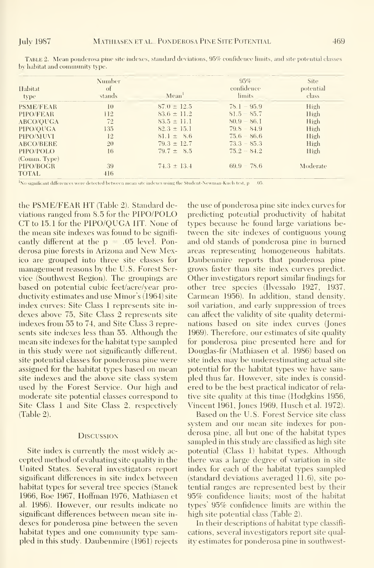| Habitat<br>type  | Number<br>of<br>stands | Mean <sup>1</sup> | 95%<br>confidence<br><i>limits</i> | <b>Site</b><br>potential<br>class |
|------------------|------------------------|-------------------|------------------------------------|-----------------------------------|
| <b>PSME/FEAR</b> | $\bar{1}$ ()           | $87.0 \pm 12.5$   | $78.1 - 95.9$                      | High                              |
| PIPO/FEAR        | 112                    | $83.6 \pm 11.2$   | $81.5 - 85.7$                      | High                              |
| ABCO/QUGA        | 72                     | $83.5 \pm 11.1$   | $80.9 - 86.1$                      | High                              |
| PIPO/OUGA        | 135                    | $82.3 \pm 15.1$   | $79.8 - S4.9$                      | High                              |
| PIPO/MUVI        | 12                     | $81.1 \pm 8.6$    | $75.6 - 86.6$                      | High                              |
| <b>ABCO/BERE</b> | 20                     | $79.3 \pm 12.7$   | $73.3 - 85.3$                      | High                              |
| PIPO/POLO        | 16                     | $79.7 \pm 8.5$    | $75.2 - 84.2$                      | High                              |
| (Comm. Type)     |                        |                   |                                    |                                   |
| PIPO/BOGR        | 39                     | $74.3 \pm 13.4$   | $69.9 - 78.6$                      | Moderate                          |
| TOTAL            | 416                    |                   |                                    |                                   |

TABLE 2. Mean ponderosa pine site indexes, standard deviations, 95% confidence limits, and site potential classes by habitat and community type.

<sup>1</sup>No significant differences were detected between mean site indexes using the Student-Newman-Kuels test, p  $-0.5$ 

the PSME/FEAR HT (Table 2). Standard deviations ranged from 8.5 for the PIPO/POLO CT to 15.1 for the PIPO/OUGA IIT. None of the mean site indexes was found to be significantly different at the  $p = .05$  level. Ponderosa pine forests in Arizona and New Mexico are grouped into three site classes for management reasons by the U.S. Forest Service (Southwest Region). The groupings are based on potential cubic feet/acre/vear productivity estimates and use Minor's (1964) site index curves: Site Class 1 represents site indexes above 75, Site Class 2 represents site indexes from 55 to 74, and Site Class 3 represents site indexes less than 55. Although the mean site indexes for the habitat type sampled in this study were not significantly different, site potential classes for ponderosa pine were assigned for the habitat types based on mean site indexes and the above site class system used by the Forest Service. Our high and moderate site potential classes correspond to Site Class 1 and Site Class 2, respectively  $(Table 2).$ 

#### **DISCUSSION**

Site index is currently the most widely accepted method of evaluating site quality in the United States. Several investigators report significant differences in site index between habitat types for several tree species (Stanek 1966, Roe 1967, Hoffman 1976, Mathiasen et al. 1986). However, our results indicate no significant differences between mean site indexes for ponderosa pine between the seven habitat types and one community type sampled in this study. Daubenmire (1961) rejects the use of ponderosa pine site index curves for predicting potential productivity of habitat types because he found large variations between the site indexes of contiguous voung and old stands of ponderosa pine in burned areas representing homogeneous habitats. Daubenmire reports that ponderosa pine grows faster than site index curves predict. Other investigators report similar findings for other tree species (Ilvessalo 1927, 1937, Carmean 1956). In addition, stand density, soil variation, and early suppression of trees can affect the validity of site quality determinations based on site index curves (Jones 1969). Therefore, our estimates of site quality for ponderosa pine presented here and for Douglas-fir (Mathiasen et al. 1986) based on site index may be underestimating actual site potential for the habitat types we have sampled thus far. However, site index is considered to be the best practical indicator of relative site quality at this time (Hodgkins 1956, Vincent 1961, Jones 1969, Husch et al. 1972).

Based on the U.S. Forest Service site class system and our mean site indexes for ponderosa pine, all but one of the habitat types sampled in this study are classified as high site potential (Class 1) habitat types. Although there was a large degree of variation in site index for each of the habitat types sampled (standard deviations averaged 11.6), site potential ranges are represented best by their 95% confidence limits; most of the habitat types' 95% confidence limits are within the high site potential class (Table 2).

In their descriptions of habitat type classifications, several investigators report site quality estimates for ponderosa pine in southwest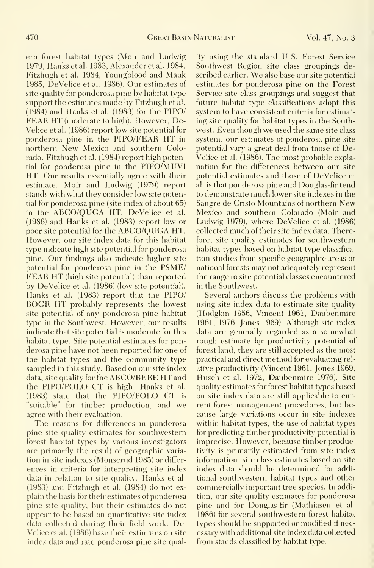em forest habitat types (Moir and Ludwig 1979, Hanks et al. 1983, Alexander et al. 1984, Fitzhugh et al. 1984, Youngblood and Mauk 1985, DeVelice et al. 1986). Onr estimates of site quality for ponderosa pine by habitat type support the estimates made bv Fitzhugh et al. (1984) and Hanks et al. (1983) for the PIPO/ FEAR HT (moderate to high). However, De-Velice et al. (1986) report low site potential for ponderosa pine in the PIPO/FEAR HT in northern New Mexico and southern Colorado. Fitzhugh et al. (1984) report high potential for ponderosa pine in the PIPO/MUVI HT. Our results essentially agree with their estimate. Moir and Ludwig (1979) report stands with what they consider low site potential for ponderosa pine (site index of about 65) in the ABCO/QUGA HT. DeVelice et al. (1986) and Hanks et al. (1983) report low or poor site potential for the ABCO/QUGA HT. However, our site index data for this habitat type indicate high site potential for ponderosa pine. Our findings also indicate higher site potential for ponderosa pine in the PSME/ FEAR HT (high site potential) than reported by DeVelice et al. (1986) (low site potential). Hanks et al. (1983) report that the PIPO/ BOGR HT probably represents the lowest site potential of any ponderosa pine habitat type in the Southwest. However, our results indicate that site potential is moderate for this habitat type. Site potential estimates for ponderosa pine have not been reported for one of the habitat types and the community type sampled in this studv. Based on our site index data, site quality for the ABCO/BERE HT and the PIPO/POLO CT is high. Hanks et al. (1983) state that the PIPO/POLO CT is "suitable" for timber production, and we agree with their evaluation.

The reasons for differences in ponderosa pine site quality estimates for southwestern forest habitat types by various investigators are primarily the result of geographic varia tion in site indexes (Monserud 1985) or differ ences in criteria for interpreting site index data in relation to site qualitv. Hanks et al. (1983) and Fitzhugh et al. (1984) do not ex plain the basis for their estimates of ponderosa pine site quality, but their estimates do not appear to be based on quantitative site index data collected during their field work. De-Velice et al. (1986) base their estimates on site index data and rate ponderosa pine site quality using the standard U.S. Forest Service Southwest Region site class groupings described earlier. We also base our site potential estimates for ponderosa pine on the Forest Service site class groupings and suggest that future habitat type classifications adopt this system to have consistent criteria for estimating site quality for habitat types in the Southwest. Even though we used the same site class system, our estimates of ponderosa pine site potential vary a great deal from those of De-Velice et al. (1986). The most probable explanation for the differences between our site potential estimates and those of DeVelice et al. is that ponderosa pine and Douglas-fir tend to demonstrate much lower site indexes in the Sangre de Cristo Mountains of northern New Mexico and southern Colorado (Moir and Ludwig 1979), where DeVelice et al. (1986) collected much of their site index data. Therefore, site quality estimates for southwestern habitat types based on habitat type classifica tion studies from specific geographic areas or national forests may not adequately represent the range in site potential classes encountered in the Southwest.

Several authors discuss the problems with using site index data to estimate site quality (Hodgkin 1956, Vincent 1961, Daubenmire 1961, 1976, Jones 1969). Although site index data are generally regarded as a somewhat rough estimate for productivity potential of forest land, they are still accepted as the most practical and direct method for evaluating rel ative productivity (Vincent 1961, Jones 1969, Husch et al. 1972, Daubenmire 1976). Site quality estimates for forest habitat types based on site index data are still applicable to cur rent forest management procedures, but be cause large variations occur in site indexes within habitat types, the use of habitat types for predicting timber productivity potential is imprecise. However, because timber productivity is primarily estimated from site index information, site class estimates based on site index data should be determined for additional southwestern habitat types and other commercially important tree species. In addition, our site quality estimates for ponderosa pine and for Douglas-fir (Mathiasen et al. 1986) for several southwestern forest habitat types should be supported or modified if necessary with additional site index data collected from stands classified by habitat type.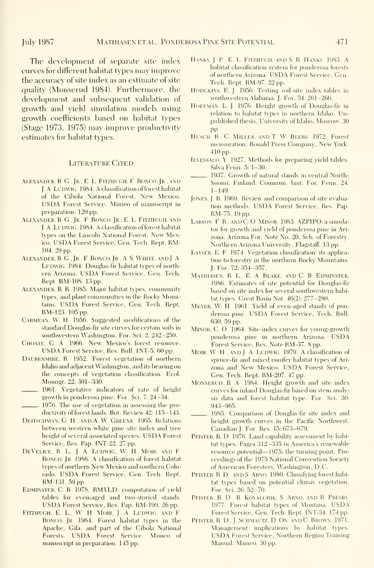The development of separate site index curves for different habitat types may improve the accuracy of site index as an estimate of site quality (Monserud 1984). Furthermore, the development and subsequent validation of growth and yield simulation models using growth coefficients based on habitat types (Stage 1973, 1975) may improve productivity estimates for habitat types.

#### Literature Cited

- ALEXANDER, B G., JR., E. L. FITZHUGH, F. RONCO, JR., AND J. A. LUDWIG. 1984. A classification of forest habitat of the Cibola National Forest, New Mexico. USDA Forest Service. Mimeo of manuscript in preparation. 120 pp.
- ALEXANDER, B. G., Jr., F. RONCO, Jr., E. L. FITZHUGH, AND LA LUDWIG. 1984. A classification of forest habitat types on the Lincoln National Forest, New Mexico. USDA Forest Service, Gen. Tech. Rept. RM-104. 29 pp.
- ALEXANDER, B. G., JR., F. RONCO, JR., A. S. WHITE, AND J. A. LUDWIG. 1984. Douglas-fir habitat types of northern Arizona. USDA Forest Service, Gen. Tech. Rept. RM-108. 13 pp.
- ALEXANDER, R. R. 1985. Major habitat types, community types, and plant communities in the Rocky Mountains. USDA Forest Service, Gen. Tech. Rept. RM-123. 105 pp.
- CARMEAN, W. H. 1956. Suggested modifications of the standard Douglas-fir site curves for certain soils in southwestern Washington. For. Sci. 2: 242-250.
- CHOATE, G. A 1966. New Mexico's forest resource. USDA Forest Service, Res. Bull. INT-5. <sup>60</sup> pp.
- DAUBENMIRE, R. 1952. Forest vegetation of northern Idaho and adjacent Washington, and its bearing on the concepts of vegetation classification. Eeol. Monogr. 22; 301-330.
- 1961. Vegetative indicators of rate of height growth in ponderosa pine. For. Sci. 7: 24-34. 1976. The use of vegetation in assessing the pro-
- ductivity of forest lands. Bot. Review 42: 115-143. DEITSCHMAN, G. H., AND A W GREENE. 1965. Relations
- between western white pine site index and tree height of several associated species. USDA Forest Service, Res. Pap. INT-22. 27 pp.
- DEVELICE, R. L., J. A. LUDWIG, W. H. MOIR, AND F. RONCO, JR. 1986. A classification of forest habitat types of northern New Mexico and southern Colorado. USDA Forest Service, Gen. Tech. Rept. RM-131.59 pp.
- EDMINSTER, C. B. 1978. RMYLD: computation of yield tables for even<sub>raged</sub> and two-storied stands. USDA Forest Service, Res. Pap. RM-199. <sup>26</sup> pp.
- FITZHUGH. E. L., W. H. MOIR, J. A. LUDWIG, AND F. RONCO, JR 1984. Forest habitat types in the Apache, Gila, and part of the Cibola National Forests. USDA Forest Service. Mimeo of manuscript in preparation. 145 pp.
- Hanks, <sup>J</sup> P , E L Fitzhugh, and S. R. Hanks. 1983. A habitat classification system for ponderosa forests of northern Arizona. USDA Forest Service, Gen. Tech. Rept. RM-97. 22 pp.
- HODGKINS, E j. 1956. Testing soil-site index tables in southwestern Alabama. J. For. 54: 261-266.
- HOFFMAN, L. J. 1976. Height growth of Douglas-fir in relation to habitat types in northern Idaho. Unpublished thesis. University of Idaho, Moscow. 30 pp.
- Husch, B., C. Miller, and T W. Beers. 1972. Forest mensination. Ronald Press Company, New York. 410 pp.
- Ilvessalo, Y 1927. Methods for preparing yield tables. Silva Fenn. 5: 1-30.
- 1937. Growth of natural stands in central North- Suomi, Finland. Commun. Inst. For. Fenn. 24: 1-149.
- JONES, J. R. 1969. Review and comparison of site evaluation methods. USDA Forest Service, Res. Pap. RM-75. 19 pp.
- LARSON. F R., AND C.O MINOR. 1983. AZPIPO: a simulator for growth and yield of ponderosa pine in Ari zona. Arizona For. Note No. 20, Sch. of Forestry, Northern Arizona University, Flagstaff. 13 pp.
- LAYSER, E. F. 1974. Vegetation classification: its application to forestry in the northern Rocky Mountains. J. For. 72:354-357.
- MATHIASEN, R L., E. A. BLAKE, AND C. B. EDMINSTER. 1986. Estimates of site potential for Douglas-fir based on site index for several southwestern habitat types. Great Basin Nat. 46(2): 277-280.
- Meyer, W. H. 1961. Yield of even-aged stands of ponderosa pine. USDA Forest Service, Tech. Bull. 630. 59 pp.
- MINOR, C. O 1964. Site-index curves for young-growth ponderosa pine in northern Arizona. USDA Forest Service, Res. Note RM-37. 8 pp.
- MOIR, W. H., AND J. A. LUDWIG. 1979. A classification of spruce-fir and mixed conifer habitat types of Ari zona and New Mexico. USDA Forest Service, Gen. Tech. Rept. RM-207. 47 pp.
- MONSERUD, R. A. 1984. Height growth and site index curves for inland Douglas-fir based on stem analysis data and forest habitat type. For. Sci. 30: 943-965.
- 1985. Comparison of Douglas-fir site index and height growth curves in the Pacific Northwest. Canadian J. For. Res. 15:673-679.
- PFISTER, R. D. 1976. Land capability assessment by habitat types. Pages 312-335 in America's renewable resource potential—1975: the turning point. Pro ceedings of the 1975 National Convention Society of American Foresters, Washington, D.C.
- PFISTER, R. D., AND S. ARNO. 1980. Classifying forest habitat types based on potential climax vegetation. For. Sci. 26:52-70.
- Pfister, R. D , B Kovalchik. S. Arno. and R. Presby. 1977. Forest habitat types of Montana. USDA Forest Service, Gen. Tech. Rept. INT-34. 174 pp.
- PFISTER, R. D., J. SCHMAUTZ, D. ON, AND C. BROWN. 1971. Management implications by habitat types. USDA Forest Service, Northern Region Training Manual. Mimeo. 30 pp.